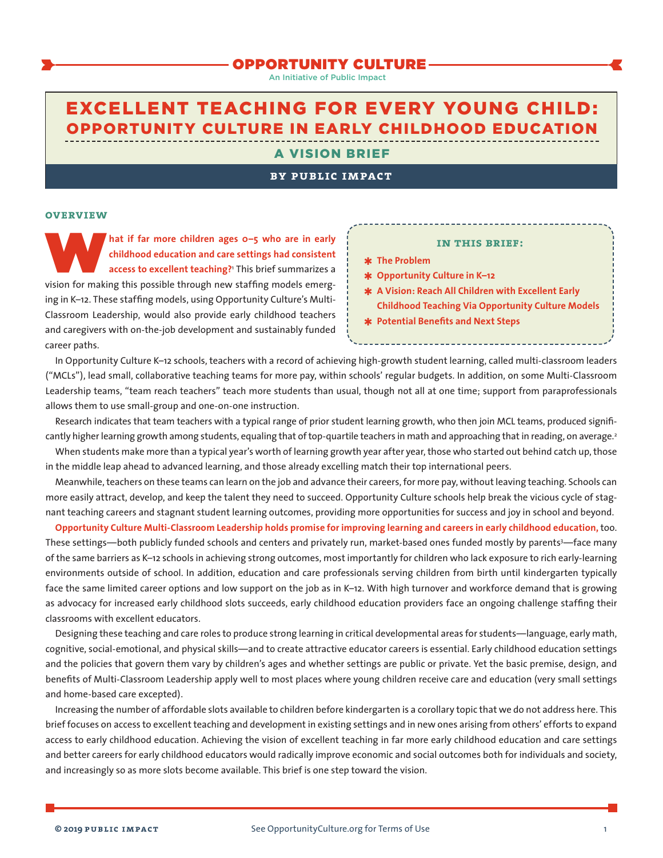# OPPORTUNITY CULTURE

An Initiative of Public Impact

# <span id="page-0-0"></span>EXCELLENT TEACHING FOR EVERY YOUNG CHILD: OPPORTUNITY CULTURE IN EARLY CHILDHOOD EDUCATION

#### A VISION BRIEF

## **by public impact**

#### **overview**

hat if far more children ages o-5 who are in early childhood education and care settings had consistent access to excellent teaching?' This brief summarizes a vision for making this possible through new staffing models eme **childhood education and care settings had consistent access to excellent teaching?**[1](#page-8-0) This brief summarizes a vision for making this possible through new staffing models emerging in K–12. These staffing models, using Opportunity Culture's Multi-Classroom Leadership, would also provide early childhood teachers and caregivers with on-the-job development and sustainably funded career paths.

#### **in this brief:**

- ✱ **The Problem**
- ✱ **Opportunity Culture in K–12**
- ✱ **A Vision: Reach All Children with Excellent Early Childhood Teaching Via Opportunity Culture Models**
- ✱ **Potential Benefits and Next Steps**

In Opportunity Culture K–12 schools, teachers with a record of achieving high-growth student learning, called multi-classroom leaders ("MCLs"), lead small, collaborative teaching teams for more pay, within schools' regular budgets. In addition, on some Multi-Classroom Leadership teams, "team reach teachers" teach more students than usual, though not all at one time; support from paraprofessionals allows them to use small-group and one-on-one instruction.

Research indicates that team teachers with a typical range of prior student learning growth, who then join MCL teams, produced significantly higher learning growth among students, equaling that of top-quartile teachers in math and approaching that in reading, on average.<sup>2</sup>

When students make more than a typical year's worth of learning growth year after year, those who started out behind catch up, those in the middle leap ahead to advanced learning, and those already excelling match their top international peers.

Meanwhile, teachers on these teams can learn on the job and advance their careers, for more pay, without leaving teaching. Schools can more easily attract, develop, and keep the talent they need to succeed. Opportunity Culture schools help break the vicious cycle of stagnant teaching careers and stagnant student learning outcomes, providing more opportunities for success and joy in school and beyond.

**Opportunity Culture Multi-Classroom Leadership holds promise for improving learning and careers in early childhood education,** too. These settings—both publicly funded schools and centers and privately run, market-based ones funded mostly by parent[s3](#page-8-0)—face many of the same barriers as K–12 schools in achieving strong outcomes, most importantly for children who lack exposure to rich early-learning environments outside of school. In addition, education and care professionals serving children from birth until kindergarten typically face the same limited career options and low support on the job as in K–12. With high turnover and workforce demand that is growing as advocacy for increased early childhood slots succeeds, early childhood education providers face an ongoing challenge staffing their classrooms with excellent educators.

Designing these teaching and care roles to produce strong learning in critical developmental areas for students—language, early math, cognitive, social-emotional, and physical skills—and to create attractive educator careers is essential. Early childhood education settings and the policies that govern them vary by children's ages and whether settings are public or private. Yet the basic premise, design, and benefits of Multi-Classroom Leadership apply well to most places where young children receive care and education (very small settings and home-based care excepted).

Increasing the number of affordable slots available to children before kindergarten is a corollary topic that we do not address here. This brief focuses on access to excellent teaching and development in existing settings and in new ones arising from others' efforts to expand access to early childhood education. Achieving the vision of excellent teaching in far more early childhood education and care settings and better careers for early childhood educators would radically improve economic and social outcomes both for individuals and society, and increasingly so as more slots become available. This brief is one step toward the vision.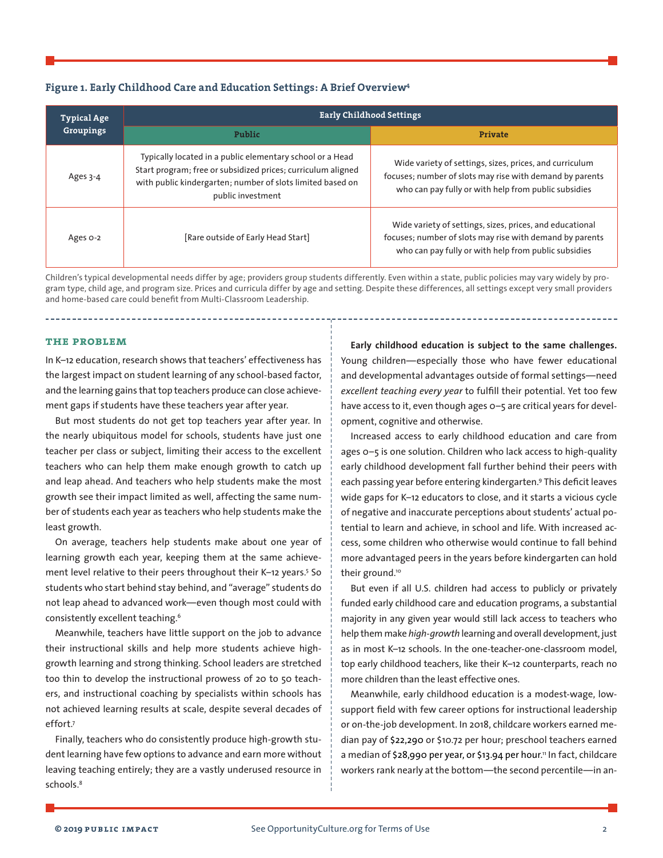## <span id="page-1-0"></span>**Figure 1. Early Childhood Care and Education Settings: A Brief Overvie[w4](#page-8-0)**

| <b>Typical Age</b><br>Groupings | <b>Early Childhood Settings</b>                                                                                                                                                                              |                                                                                                                                                                              |  |  |
|---------------------------------|--------------------------------------------------------------------------------------------------------------------------------------------------------------------------------------------------------------|------------------------------------------------------------------------------------------------------------------------------------------------------------------------------|--|--|
|                                 | Public                                                                                                                                                                                                       | Private                                                                                                                                                                      |  |  |
| Ages 3-4                        | Typically located in a public elementary school or a Head<br>Start program; free or subsidized prices; curriculum aligned<br>with public kindergarten; number of slots limited based on<br>public investment | Wide variety of settings, sizes, prices, and curriculum<br>focuses; number of slots may rise with demand by parents<br>who can pay fully or with help from public subsidies  |  |  |
| Ages o-2                        | [Rare outside of Early Head Start]                                                                                                                                                                           | Wide variety of settings, sizes, prices, and educational<br>focuses; number of slots may rise with demand by parents<br>who can pay fully or with help from public subsidies |  |  |

Children's typical developmental needs differ by age; providers group students differently. Even within a state, public policies may vary widely by program type, child age, and program size. Prices and curricula differ by age and setting. Despite these differences, all settings except very small providers and home-based care could benefit from Multi-Classroom Leadership.

#### **the problem**

In K–12 education, research shows that teachers' effectiveness has the largest impact on student learning of any school-based factor, and the learning gains that top teachers produce can close achievement gaps if students have these teachers year after year.

But most students do not get top teachers year after year. In the nearly ubiquitous model for schools, students have just one teacher per class or subject, limiting their access to the excellent teachers who can help them make enough growth to catch up and leap ahead. And teachers who help students make the most growth see their impact limited as well, affecting the same number of students each year as teachers who help students make the least growth.

On average, teachers help students make about one year of learning growth each year, keeping them at the same achieve-ment level relative to their peers throughout their K-12 years.<sup>[5](#page-8-0)</sup> So students who start behind stay behind, and "average" students do not leap ahead to advanced work—even though most could with consistently excellent teaching[.6](#page-8-0)

Meanwhile, teachers have little support on the job to advance their instructional skills and help more students achieve highgrowth learning and strong thinking. School leaders are stretched too thin to develop the instructional prowess of 20 to 50 teachers, and instructional coaching by specialists within schools has not achieved learning results at scale, despite several decades of effort[.7](#page-8-0)

Finally, teachers who do consistently produce high-growth student learning have few options to advance and earn more without leaving teaching entirely; they are a vastly underused resource in schools.<sup>8</sup>

**Early childhood education is subject to the same challenges.**  Young children—especially those who have fewer educational and developmental advantages outside of formal settings—need *excellent teaching every year* to fulfill their potential. Yet too few have access to it, even though ages 0-5 are critical years for development, cognitive and otherwise.

Increased access to early childhood education and care from ages 0–5 is one solution. Children who lack access to high-quality early childhood development fall further behind their peers with each passing year before entering kindergarten.<sup>[9](#page-8-0)</sup> This deficit leaves wide gaps for K–12 educators to close, and it starts a vicious cycle of negative and inaccurate perceptions about students' actual potential to learn and achieve, in school and life. With increased access, some children who otherwise would continue to fall behind more advantaged peers in the years before kindergarten can hold their ground.<sup>[10](#page-9-0)</sup>

But even if all U.S. children had access to publicly or privately funded early childhood care and education programs, a substantial majority in any given year would still lack access to teachers who help them make *high-growth* learning and overall development, just as in most K–12 schools. In the one-teacher-one-classroom model, top early childhood teachers, like their K–12 counterparts, reach no more children than the least effective ones.

Meanwhile, early childhood education is a modest-wage, lowsupport field with few career options for instructional leadership or on-the-job development. In 2018, childcare workers earned median pay of \$22,290 or \$10.72 per hour; preschool teachers earned a median of \$28,990 per year, or \$13.94 per hour. [11](#page-9-0) In fact, childcare workers rank nearly at the bottom—the second percentile—in an-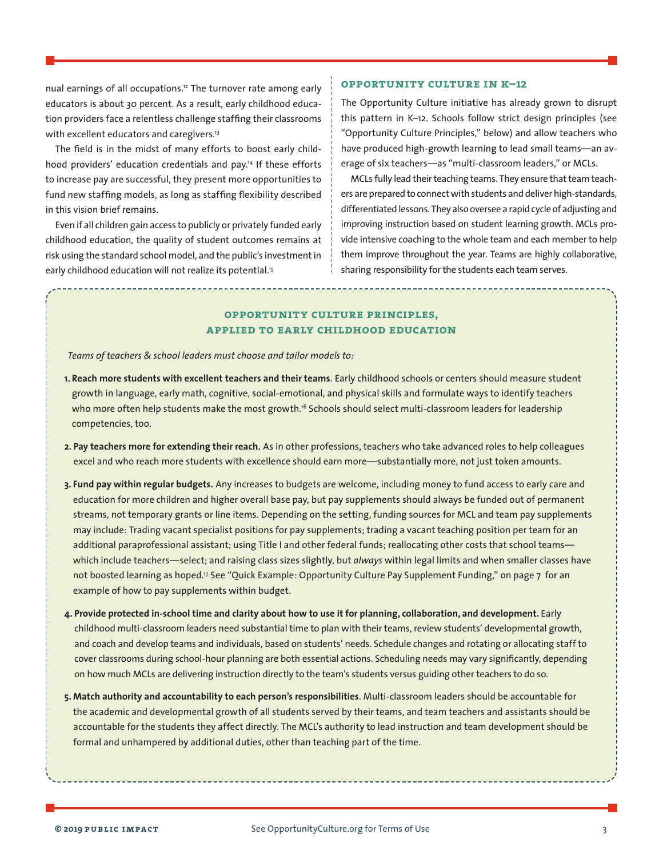<span id="page-2-0"></span>nual earnings of all occupations.<sup>12</sup> The turnover rate among early educators is about 30 percent. As a result, early childhood education providers face a relentless challenge staffing their classrooms with excellent educators and caregivers.<sup>13</sup>

The field is in the midst of many efforts to boost early childhood providers' education credentials and pay.<sup>14</sup> If these efforts to increase pay are successful, they present more opportunities to fund new staffing models, as long as staffing flexibility described in this vision brief remains.

Even if all children gain access to publicly or privately funded early childhood education, the quality of student outcomes remains at risk using the standard school model, and the public's investment in early childhood education will not realize its potential.<sup>15</sup>

## **opportunity culture in k–12**

The Opportunity Culture initiative has already grown to disrupt this pattern in K–12. Schools follow strict design principles (see "Opportunity Culture Principles," below) and allow teachers who have produced high-growth learning to lead small teams—an average of six teachers—as "multi-classroom leaders," or MCLs.

MCLs fully lead their teaching teams. They ensure that team teachers are prepared to connect with students and deliver high-standards, differentiated lessons. They also oversee a rapid cycle of adjusting and improving instruction based on student learning growth. MCLs provide intensive coaching to the whole team and each member to help them improve throughout the year. Teams are highly collaborative, sharing responsibility for the students each team serves.

# **opportunity culture principles, applied to early childhood education**

*Teams of teachers & school leaders must choose and tailor models to:*

- **1. Reach more students with excellent teachers and their teams**. Early childhood schools or centers should measure student growth in language, early math, cognitive, social-emotional, and physical skills and formulate ways to identify teachers who more often help students make the most growth.<sup>16</sup> Schools should select multi-classroom leaders for leadership competencies, too.
- **2. Pay teachers more for extending their reach**. As in other professions, teachers who take advanced roles to help colleagues excel and who reach more students with excellence should earn more—substantially more, not just token amounts.
- **3. Fund pay within regular budgets**. Any increases to budgets are welcome, including money to fund access to early care and education for more children and higher overall base pay, but pay supplements should always be funded out of permanent streams, not temporary grants or line items. Depending on the setting, funding sources for MCL and team pay supplements may include: Trading vacant specialist positions for pay supplements; trading a vacant teaching position per team for an additional paraprofessional assistant; using Title I and other federal funds; reallocating other costs that school teams which include teachers—select; and raising class sizes slightly, but *always* within legal limits and when smaller classes have not boosted learning as hoped.<sup>17</sup> See "Quick Example: Opportunity Culture Pay Supplement Funding," on page 7 for an example of how to pay supplements within budget.
- **4. Provide protected in-school time and clarity about how to use it for planning, collaboration, and development.** Early childhood multi-classroom leaders need substantial time to plan with their teams, review students' developmental growth, and coach and develop teams and individuals, based on students' needs. Schedule changes and rotating or allocating staff to cover classrooms during school-hour planning are both essential actions. Scheduling needs may vary significantly, depending on how much MCLs are delivering instruction directly to the team's students versus guiding other teachers to do so.
- **5. Match authority and accountability to each person's responsibilities**. Multi-classroom leaders should be accountable for the academic and developmental growth of all students served by their teams, and team teachers and assistants should be accountable for the students they affect directly. The MCL's authority to lead instruction and team development should be formal and unhampered by additional duties, other than teaching part of the time.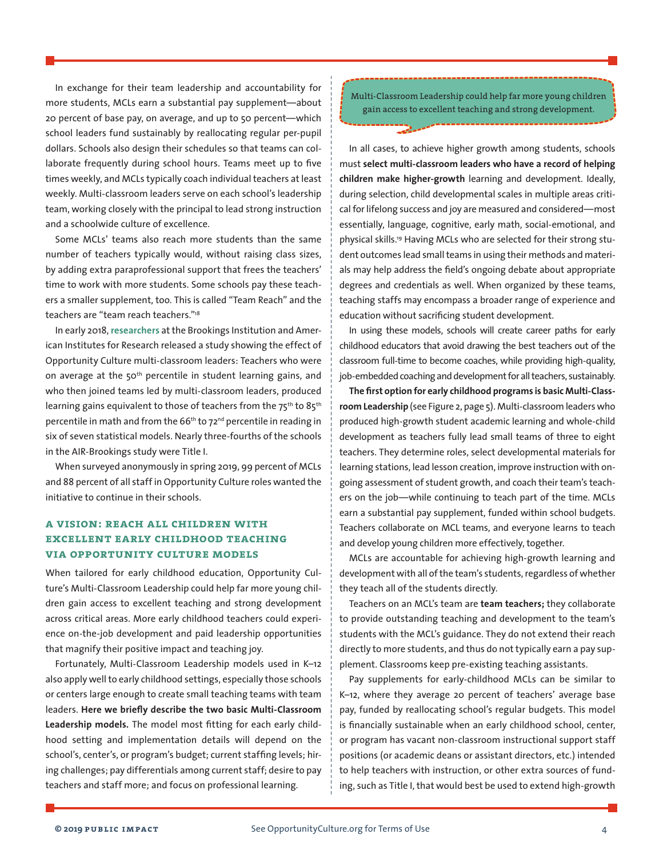<span id="page-3-0"></span>In exchange for their team leadership and accountability for more students, MCLs earn a substantial pay supplement—about 20 percent of base pay, on average, and up to 50 percent—which school leaders fund sustainably by reallocating regular per-pupil dollars. Schools also design their schedules so that teams can collaborate frequently during school hours. Teams meet up to five times weekly, and MCLs typically coach individual teachers at least weekly. Multi-classroom leaders serve on each school's leadership team, working closely with the principal to lead strong instruction and a schoolwide culture of excellence.

Some MCLs' teams also reach more students than the same number of teachers typically would, without raising class sizes, by adding extra paraprofessional support that frees the teachers' time to work with more students. Some schools pay these teachers a smaller supplement, too. This is called "Team Reach" and the teachers are "team reach teachers.["18](#page-9-0)

In early 2018, [researchers](https://www.brookings.edu/blog/brown-center-chalkboard/2018/01/25/new-teaching-model-yields-learning-improvement-for-students-in-math/) at the Brookings Institution and American Institutes for Research released a study showing the effect of Opportunity Culture multi-classroom leaders: Teachers who were on average at the 50<sup>th</sup> percentile in student learning gains, and who then joined teams led by multi-classroom leaders, produced learning gains equivalent to those of teachers from the 75<sup>th</sup> to 85<sup>th</sup> percentile in math and from the 66<sup>th</sup> to 72<sup>nd</sup> percentile in reading in six of seven statistical models. Nearly three-fourths of the schools in the AIR-Brookings study were Title I.

When surveyed anonymously in spring 2019, 99 percent of MCLs and 88 percent of all staff in Opportunity Culture roles wanted the initiative to continue in their schools.

# **a vision: reach all children with excellent early childhood teaching via opportunity culture models**

When tailored for early childhood education, Opportunity Culture's Multi-Classroom Leadership could help far more young children gain access to excellent teaching and strong development across critical areas. More early childhood teachers could experience on-the-job development and paid leadership opportunities that magnify their positive impact and teaching joy.

Fortunately, Multi-Classroom Leadership models used in K–12 also apply well to early childhood settings, especially those schools or centers large enough to create small teaching teams with team leaders. **Here we briefly describe the two basic Multi-Classroom Leadership models.** The model most fitting for each early childhood setting and implementation details will depend on the school's, center's, or program's budget; current staffing levels; hiring challenges; pay differentials among current staff; desire to pay teachers and staff more; and focus on professional learning.

Multi-Classroom Leadership could help far more young children gain access to excellent teaching and strong development.

In all cases, to achieve higher growth among students, schools must **select multi-classroom leaders who have a record of helping children make higher-growth** learning and development. Ideally, during selection, child developmental scales in multiple areas critical for lifelong success and joy are measured and considered—most essentially, language, cognitive, early math, social-emotional, and physical skills.[19](#page-9-0) Having MCLs who are selected for their strong student outcomes lead small teams in using their methods and materials may help address the field's ongoing debate about appropriate degrees and credentials as well. When organized by these teams, teaching staffs may encompass a broader range of experience and education without sacrificing student development.

In using these models, schools will create career paths for early childhood educators that avoid drawing the best teachers out of the classroom full-time to become coaches, while providing high-quality, job-embedded coaching and development for all teachers, sustainably.

**The first option for early childhood programs is basic Multi-Classroom Leadership** (see Figure 2, page 5). Multi-classroom leaderswho produced high-growth student academic learning and whole-child development as teachers fully lead small teams of three to eight teachers. They determine roles, select developmental materials for learning stations, lead lesson creation, improve instruction with ongoing assessment of student growth, and coach their team's teachers on the job—while continuing to teach part of the time. MCLs earn a substantial pay supplement, funded within school budgets. Teachers collaborate on MCL teams, and everyone learns to teach and develop young children more effectively, together.

MCLs are accountable for achieving high-growth learning and development with all of the team's students, regardless of whether they teach all of the students directly.

Teachers on an MCL's team are **team teachers;** they collaborate to provide outstanding teaching and development to the team's students with the MCL's guidance. They do not extend their reach directly to more students, and thus do not typically earn a pay supplement. Classrooms keep pre-existing teaching assistants.

Pay supplements for early-childhood MCLs can be similar to K–12, where they average 20 percent of teachers' average base pay, funded by reallocating school's regular budgets. This model is financially sustainable when an early childhood school, center, or program has vacant non-classroom instructional support staff positions (or academic deans or assistant directors, etc.) intended to help teachers with instruction, or other extra sources of funding, such as Title I, that would best be used to extend high-growth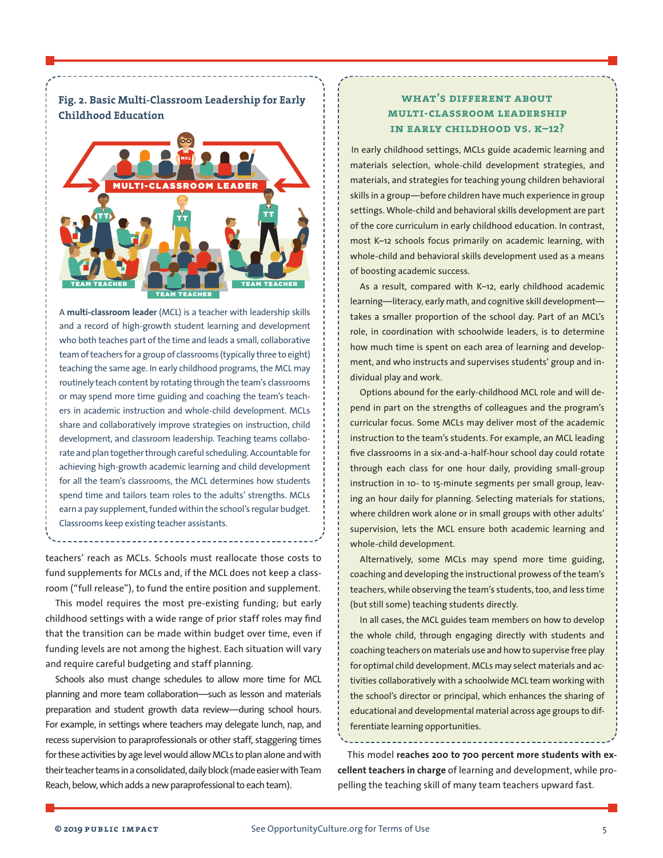

**Fig. 2. Basic Multi-Classroom Leadership for Early** 

A **multi-classroom leader** (MCL) is a teacher with leadership skills and a record of high-growth student learning and development who both teaches part of the time and leads a small, collaborative teamofteachers for a group of classrooms (typically three to eight) teaching the same age. In early childhood programs, the MCL may routinely teach content by rotating through the team's classrooms or may spend more time guiding and coaching the team's teachers in academic instruction and whole-child development. MCLs share and collaboratively improve strategies on instruction, child development, and classroom leadership. Teaching teams collaborate and plan together through careful scheduling. Accountable for achieving high-growth academic learning and child development for all the team's classrooms, the MCL determines how students spend time and tailors team roles to the adults' strengths. MCLs earn a pay supplement, funded within the school's regular budget. Classrooms keep existing teacher assistants.

teachers' reach as MCLs. Schools must reallocate those costs to fund supplements for MCLs and, if the MCL does not keep a classroom ("full release"), to fund the entire position and supplement.

This model requires the most pre-existing funding; but early childhood settings with a wide range of prior staff roles may find that the transition can be made within budget over time, even if funding levels are not among the highest. Each situation will vary and require careful budgeting and staff planning.

Schools also must change schedules to allow more time for MCL planning and more team collaboration—such as lesson and materials preparation and student growth data review—during school hours. For example, in settings where teachers may delegate lunch, nap, and recess supervision to paraprofessionals or other staff, staggering times for these activities by age level would allow MCLs to plan alone and with their teacher teams in a consolidated, daily block (made easier with Team Reach, below, which adds a new paraprofessional to each team).

# **what's different about multi-classroom leadership in early childhood vs. k–12?**

In early childhood settings, MCLs guide academic learning and materials selection, whole-child development strategies, and materials, and strategies for teaching young children behavioral skills in a group—before children have much experience in group settings. Whole-child and behavioral skills development are part of the core curriculum in early childhood education. In contrast, most K–12 schools focus primarily on academic learning, with whole-child and behavioral skills development used as a means of boosting academic success.

As a result, compared with K–12, early childhood academic learning—literacy, early math, and cognitive skill development takes a smaller proportion of the school day. Part of an MCL's role, in coordination with schoolwide leaders, is to determine how much time is spent on each area of learning and development, and who instructs and supervises students' group and individual play and work.

Options abound for the early-childhood MCL role and will depend in part on the strengths of colleagues and the program's curricular focus. Some MCLs may deliver most of the academic instruction to the team's students. For example, an MCL leading five classrooms in a six-and-a-half-hour school day could rotate through each class for one hour daily, providing small-group instruction in 10- to 15-minute segments per small group, leaving an hour daily for planning. Selecting materials for stations, where children work alone or in small groups with other adults' supervision, lets the MCL ensure both academic learning and whole-child development.

Alternatively, some MCLs may spend more time guiding, coaching and developing the instructional prowess of the team's teachers, while observing the team's students, too, and less time (but still some) teaching students directly.

In all cases, the MCL guides team members on how to develop the whole child, through engaging directly with students and coaching teachers on materials use and how to supervise free play for optimal child development. MCLs may select materials and activities collaboratively with a schoolwide MCL team working with the school's director or principal, which enhances the sharing of educational and developmental material across age groups to differentiate learning opportunities.

This model **reaches 200 to 700 percent more students with excellent teachers in charge** of learning and development, while propelling the teaching skill of many team teachers upward fast.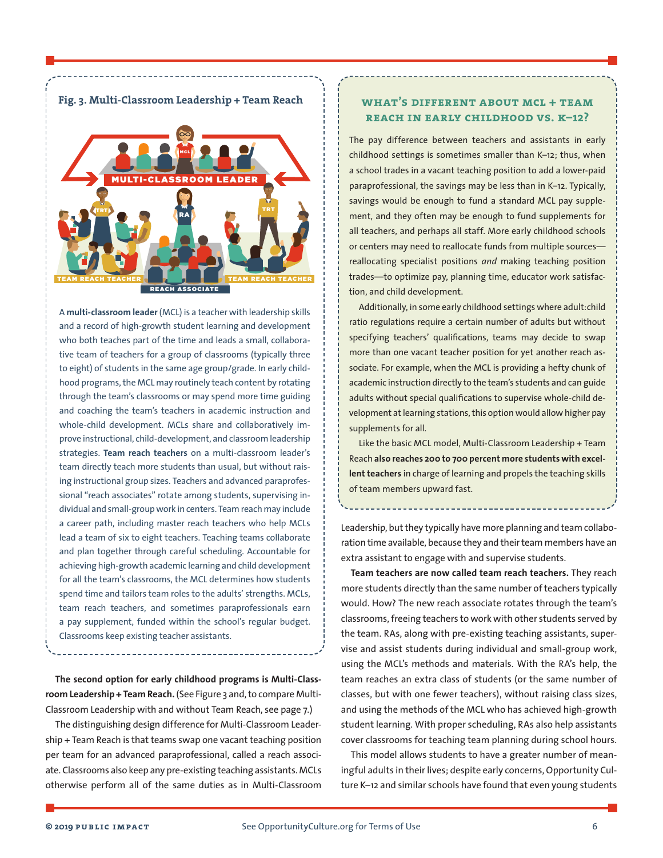

A **multi-classroom leader**(MCL) is a teacher with leadership skills and a record of high-growth student learning and development who both teaches part of the time and leads a small, collaborative team of teachers for a group of classrooms (typically three to eight) of students in the same age group/grade. In early childhood programs, the MCL may routinely teach content by rotating through the team's classrooms or may spend more time guiding and coaching the team's teachers in academic instruction and whole-child development. MCLs share and collaboratively improve instructional, child-development, and classroom leadership strategies. **Team reach teachers** on a multi-classroom leader's team directly teach more students than usual, but without raising instructional group sizes. Teachers and advanced paraprofessional "reach associates" rotate among students, supervising individual and small-groupwork in centers. Team reach may include a career path, including master reach teachers who help MCLs lead a team of six to eight teachers. Teaching teams collaborate and plan together through careful scheduling. Accountable for achieving high-growth academic learning and child development for all the team's classrooms, the MCL determines how students spend time and tailors team roles to the adults' strengths. MCLs, team reach teachers, and sometimes paraprofessionals earn a pay supplement, funded within the school's regular budget. Classrooms keep existing teacher assistants.

**The second option for early childhood programs is Multi-Class**room Leadership + Team Reach. (See Figure 3 and, to compare Multi-Classroom Leadership with and without Team Reach, see page 7.)

The distinguishing design difference for Multi-Classroom Leadership + Team Reach is that teams swap one vacant teaching position per team for an advanced paraprofessional, called a reach associate. Classrooms also keep any pre-existing teaching assistants. MCLs otherwise perform all of the same duties as in Multi-Classroom

# **what's different about mcl + team reach in early childhood vs. k–12?**

The pay difference between teachers and assistants in early childhood settings is sometimes smaller than K–12; thus, when a school trades in a vacant teaching position to add a lower-paid paraprofessional, the savings may be less than in K–12. Typically, savings would be enough to fund a standard MCL pay supplement, and they often may be enough to fund supplements for all teachers, and perhaps all staff. More early childhood schools or centers may need to reallocate funds from multiple sources reallocating specialist positions *and* making teaching position trades—to optimize pay, planning time, educator work satisfaction, and child development.

Additionally, in some early childhood settings where adult:child ratio regulations require a certain number of adults but without specifying teachers' qualifications, teams may decide to swap more than one vacant teacher position for yet another reach associate. For example, when the MCL is providing a hefty chunk of academic instruction directly to the team's students and can guide adults without special qualifications to supervise whole-child development at learning stations, this option would allow higher pay supplements for all.

Like the basic MCL model, Multi-Classroom Leadership + Team Reach **also reaches 200 to 700 percent more students with excellent teachers** in charge of learning and propels the teaching skills of team members upward fast.

Leadership, but they typically have more planning and team collaboration time available, because they and their team members have an extra assistant to engage with and supervise students.

**Team teachers are now called team reach teachers.** They reach more students directly than the same number of teachers typically would. How? The new reach associate rotates through the team's classrooms, freeing teachers to work with other students served by the team. RAs, along with pre-existing teaching assistants, supervise and assist students during individual and small-group work, using the MCL's methods and materials. With the RA's help, the team reaches an extra class of students (or the same number of classes, but with one fewer teachers), without raising class sizes, and using the methods of the MCL who has achieved high-growth student learning. With proper scheduling, RAs also help assistants cover classrooms for teaching team planning during school hours.

This model allows students to have a greater number of meaningful adults in their lives; despite early concerns, Opportunity Culture K–12 and similar schools have found that even young students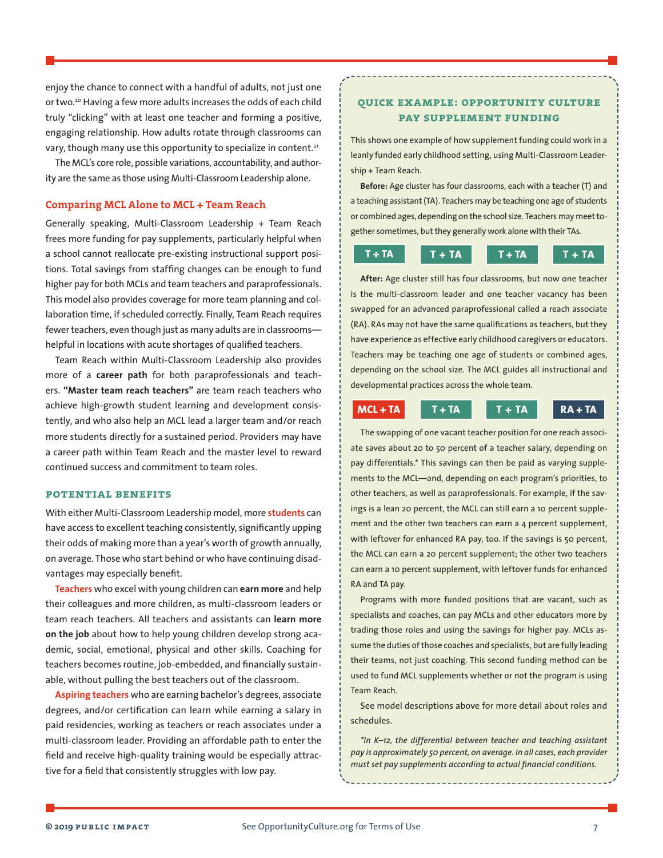<span id="page-6-0"></span>enjoy the chance to connect with a handful of adults, not just one or two.<sup>20</sup> Having a few more adults increases the odds of each child truly "clicking" with at least one teacher and forming a positive, engaging relationship. How adults rotate through classrooms can vary, though many use this opportunity to specialize in content.<sup>[21](#page-9-0)</sup>

The MCL's core role, possible variations, accountability, and authority are the same as those using Multi-Classroom Leadership alone.

## **Comparing MCL Alone to MCL + Team Reach**

Generally speaking, Multi-Classroom Leadership + Team Reach frees more funding for pay supplements, particularly helpful when a school cannot reallocate pre-existing instructional support positions. Total savings from staffing changes can be enough to fund higher pay for both MCLs and team teachers and paraprofessionals. This model also provides coverage for more team planning and collaboration time, if scheduled correctly. Finally, Team Reach requires fewer teachers, even though just as many adults are in classroomshelpful in locations with acute shortages of qualified teachers.

Team Reach within Multi-Classroom Leadership also provides more of a **career path** for both paraprofessionals and teachers. **"Master team reach teachers"** are team reach teachers who achieve high-growth student learning and development consistently, and who also help an MCL lead a larger team and/or reach more students directly for a sustained period. Providers may have a career path within Team Reach and the master level to reward continued success and commitment to team roles.

#### **potential benefits**

With either Multi-Classroom Leadership model, more **students** can have access to excellent teaching consistently, significantly upping their odds of making more than a year's worth of growth annually, on average. Those who start behind or who have continuing disadvantages may especially benefit.

**Teachers** who excel with young children can **earn more** and help their colleagues and more children, as multi-classroom leaders or team reach teachers. All teachers and assistants can **learn more on the job** about how to help young children develop strong academic, social, emotional, physical and other skills. Coaching for teachers becomes routine, job-embedded, and financially sustainable, without pulling the best teachers out of the classroom.

**Aspiring teachers** who are earning bachelor's degrees, associate degrees, and/or certification can learn while earning a salary in paid residencies, working as teachers or reach associates under a multi-classroom leader. Providing an affordable path to enter the field and receive high-quality training would be especially attractive for a field that consistently struggles with low pay.

# **quick example: opportunity culture pay supplement funding**

This shows one example of how supplement funding could work in a leanly funded early childhood setting, using Multi-Classroom Leadership + Team Reach.

**Before:** Age cluster has four classrooms, each with a teacher (T) and a teaching assistant (TA). Teachers may be teaching one age of students or combined ages, depending on the school size. Teachers may meet together sometimes, but they generally work alone with their TAs.

# $T + TA$  **T** + TA<sup> $T + TA$ </sup> **T** + TA<sup> $T + TA$ </sup>

**After:** Age cluster still has four classrooms, but now one teacher is the multi-classroom leader and one teacher vacancy has been swapped for an advanced paraprofessional called a reach associate (RA). RAs may not have the same qualifications as teachers, but they have experience as effective early childhood caregivers or educators. Teachers may be teaching one age of students or combined ages, depending on the school size. The MCL guides all instructional and developmental practices across the whole team.

**MCL + TA T + TA T + TA RA + TA**

The swapping of one vacant teacher position for one reach associate saves about 20 to 50 percent of a teacher salary, depending on pay differentials.\* This savings can then be paid as varying supplements to the MCL—and, depending on each program's priorities, to other teachers, as well as paraprofessionals. For example, if the savings is a lean 20 percent, the MCL can still earn a 10 percent supplement and the other two teachers can earn a 4 percent supplement, with leftover for enhanced RA pay, too. If the savings is 50 percent, the MCL can earn a 20 percent supplement; the other two teachers can earn a 10 percent supplement, with leftover funds for enhanced RA and TA pay.

Programs with more funded positions that are vacant, such as specialists and coaches, can pay MCLs and other educators more by trading those roles and using the savings for higher pay. MCLs assume the duties of those coaches and specialists, but are fully leading their teams, not just coaching. This second funding method can be used to fund MCL supplements whether or not the program is using Team Reach.

See model descriptions above for more detail about roles and schedules.

*\*In K–12, the differential between teacher and teaching assistant pay is approximately 50 percent, on average. In all cases, each provider must set pay supplements according to actual financial conditions.*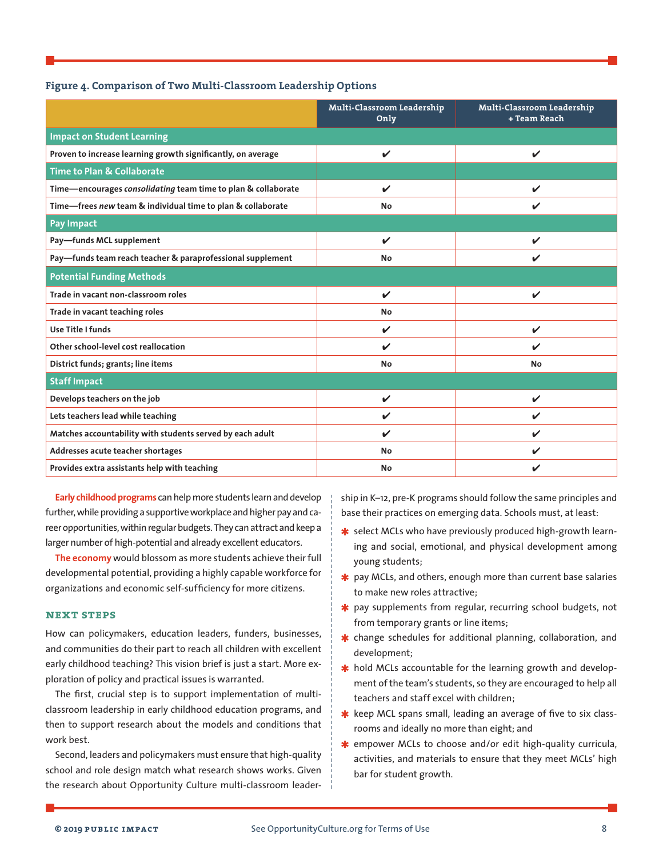| Figure 4. Comparison of Two Multi-Classroom Leadership Options |  |  |  |  |
|----------------------------------------------------------------|--|--|--|--|
|----------------------------------------------------------------|--|--|--|--|

|                                                               | Multi-Classroom Leadership<br>Only | Multi-Classroom Leadership<br>+ Team Reach |  |  |  |
|---------------------------------------------------------------|------------------------------------|--------------------------------------------|--|--|--|
| <b>Impact on Student Learning</b>                             |                                    |                                            |  |  |  |
| Proven to increase learning growth significantly, on average  | V                                  | $\checkmark$                               |  |  |  |
| <b>Time to Plan &amp; Collaborate</b>                         |                                    |                                            |  |  |  |
| Time-encourages consolidating team time to plan & collaborate | V                                  | ✓                                          |  |  |  |
| Time-frees new team & individual time to plan & collaborate   | No                                 | ✓                                          |  |  |  |
| <b>Pay Impact</b>                                             |                                    |                                            |  |  |  |
| Pay-funds MCL supplement                                      | V                                  | ✓                                          |  |  |  |
| Pay-funds team reach teacher & paraprofessional supplement    | No                                 | ✓                                          |  |  |  |
| <b>Potential Funding Methods</b>                              |                                    |                                            |  |  |  |
| Trade in vacant non-classroom roles                           | $\mathbf{v}$                       | $\checkmark$                               |  |  |  |
| Trade in vacant teaching roles                                | No                                 |                                            |  |  |  |
| Use Title I funds                                             | V                                  | $\checkmark$                               |  |  |  |
| Other school-level cost reallocation                          | ✓                                  | V                                          |  |  |  |
| District funds; grants; line items                            | No                                 | <b>No</b>                                  |  |  |  |
| <b>Staff Impact</b>                                           |                                    |                                            |  |  |  |
| Develops teachers on the job                                  | V                                  | $\checkmark$                               |  |  |  |
| Lets teachers lead while teaching                             | ✔                                  | ✓                                          |  |  |  |
| Matches accountability with students served by each adult     | V                                  | V                                          |  |  |  |
| Addresses acute teacher shortages                             | No                                 | ✓                                          |  |  |  |
| Provides extra assistants help with teaching                  | No                                 | V                                          |  |  |  |

**Early childhood programs** can help more students learn and develop further, while providing a supportive workplace and higher pay and career opportunities, within regular budgets. They can attract and keep a larger number of high-potential and already excellent educators.

**The economy** would blossom as more students achieve their full developmental potential, providing a highly capable workforce for organizations and economic self-sufficiency for more citizens.

## **next steps**

How can policymakers, education leaders, funders, businesses, and communities do their part to reach all children with excellent early childhood teaching? This vision brief is just a start. More exploration of policy and practical issues is warranted.

The first, crucial step is to support implementation of multiclassroom leadership in early childhood education programs, and then to support research about the models and conditions that work best.

Second, leaders and policymakers must ensure that high-quality school and role design match what research shows works. Given the research about Opportunity Culture multi-classroom leadership in K–12, pre-K programs should follow the same principles and base their practices on emerging data. Schools must, at least:

- **≭** select MCLs who have previously produced high-growth learning and social, emotional, and physical development among young students;
- **∗** pay MCLs, and others, enough more than current base salaries to make new roles attractive;
- \* pay supplements from regular, recurring school budgets, not from temporary grants or line items;
- \* change schedules for additional planning, collaboration, and development;
- $★$  hold MCLs accountable for the learning growth and development of the team's students, so they are encouraged to help all teachers and staff excel with children;
- **\*** keep MCL spans small, leading an average of five to six classrooms and ideally no more than eight; and
- **∗** empower MCLs to choose and/or edit high-quality curricula, activities, and materials to ensure that they meet MCLs' high bar for student growth.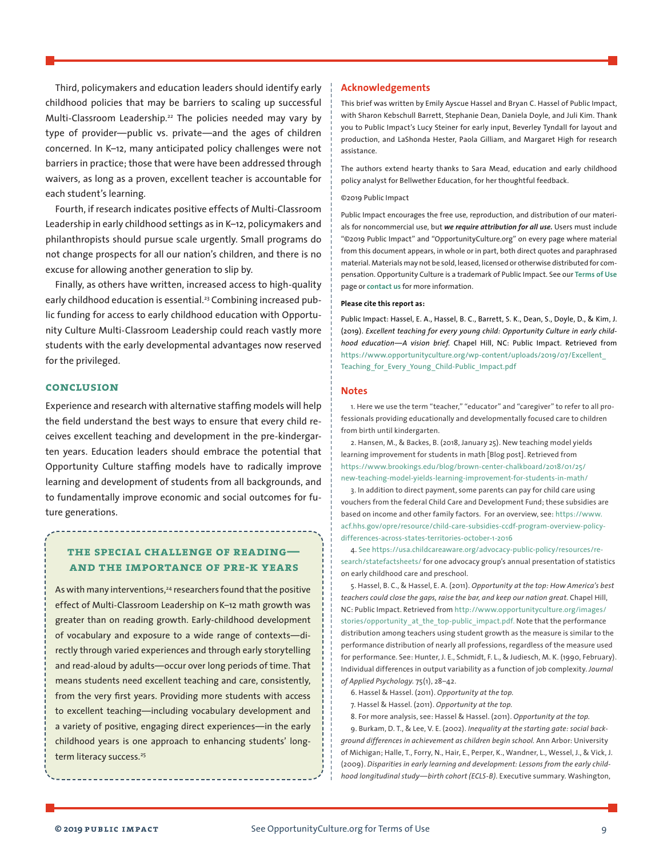<span id="page-8-0"></span>Third, policymakers and education leaders should identify early childhood policies that may be barriers to scaling up successful Multi-Classroom Leadership.<sup>[22](#page-9-0)</sup> The policies needed may vary by type of provider—public vs. private—and the ages of children concerned. In K–12, many anticipated policy challenges were not barriers in practice; those that were have been addressed through waivers, as long as a proven, excellent teacher is accountable for each student's learning.

Fourth, if research indicates positive effects of Multi-Classroom Leadership in early childhood settings as in K–12, policymakers and philanthropists should pursue scale urgently. Small programs do not change prospects for all our nation's children, and there is no excuse for allowing another generation to slip by.

Finally, as others have written, increased access to high-quality early childhood education is essential.<sup>[23](#page-9-0)</sup> Combining increased public funding for access to early childhood education with Opportunity Culture Multi-Classroom Leadership could reach vastly more students with the early developmental advantages now reserved for the privileged.

## **conclusion**

Experience and research with alternative staffing models will help the field understand the best ways to ensure that every child receives excellent teaching and development in the pre-kindergarten years. Education leaders should embrace the potential that Opportunity Culture staffing models have to radically improve learning and development of students from all backgrounds, and to fundamentally improve economic and social outcomes for future generations.

## **the special challenge of reading and the importance of pre-k years**

As with many interventions,<sup>[24](#page-9-0)</sup> researchers found that the positive effect of Multi-Classroom Leadership on K–12 math growth was greater than on reading growth. Early-childhood development of vocabulary and exposure to a wide range of contexts—directly through varied experiences and through early storytelling and read-aloud by adults—occur over long periods of time. That means students need excellent teaching and care, consistently, from the very first years. Providing more students with access to excellent teaching—including vocabulary development and a variety of positive, engaging direct experiences—in the early childhood years is one approach to enhancing students' long-term literacy success.<sup>[25](#page-9-0)</sup>

## **Acknowledgements**

This brief was written by Emily Ayscue Hassel and Bryan C. Hassel of Public Impact, with Sharon Kebschull Barrett, Stephanie Dean, Daniela Doyle, and Juli Kim. Thank you to Public Impact's Lucy Steiner for early input, Beverley Tyndall for layout and production, and LaShonda Hester, Paola Gilliam, and Margaret High for research assistance.

The authors extend hearty thanks to Sara Mead, education and early childhood policy analyst for Bellwether Education, for her thoughtful feedback.

#### ©2019 Public Impact

Public Impact encourages the free use, reproduction, and distribution of our materials for noncommercial use, but *we require attribution for all use.* Users must include "©2019 Public Impact" and "OpportunityCulture.org" on every page where material from this document appears, in whole or in part, both direct quotes and paraphrased material. Materials may not be sold, leased, licensed or otherwise distributed for compensation. Opportunity Culture is a trademark of Public Impact. See our **[Terms of Use](http://opportunityculture.org/terms-of-use/)** page or **[contact us](http://opportunityculture.org/our-initiative/feedback/)** for more information.

#### **Please cite this report as:**

Public Impact: Hassel, E. A., Hassel, B. C., Barrett, S. K., Dean, S., Doyle, D., & Kim, J. (2019). *Excellent teaching for every young child: Opportunity Culture in early childhood education—A vision brief.* Chapel Hill, NC: Public Impact. Retrieved from [https://www.opportunityculture.org/wp-content/uploads/2019/07/Excellent\\_](https://www.opportunityculture.org/wp-content/uploads/2019/07/Excellent_Teaching_for_Every_Young_Child-Public_Impact.pdf) [Teaching\\_for\\_Every\\_Young\\_Child-Public\\_Impact.pdf](https://www.opportunityculture.org/wp-content/uploads/2019/07/Excellent_Teaching_for_Every_Young_Child-Public_Impact.pdf)

#### **Notes**

[1](#page-0-0). Here we use the term "teacher," "educator" and "caregiver" to refer to all professionals providing educationally and developmentally focused care to children from birth until kindergarten.

[2.](#page-0-0) Hansen, M., & Backes, B. (2018, January 25). New teaching model yields learning improvement for students in math [Blog post]. Retrieved from [https://www.brookings.edu/blog/brown-center-chalkboard/2018/01/25/](https://www.brookings.edu/blog/brown-center-chalkboard/2018/01/25/new-teaching-model-yields-learning-improvement-for-students-in-math/) [new-teaching-model-yields-learning-improvement-for-students-in-math/](https://www.brookings.edu/blog/brown-center-chalkboard/2018/01/25/new-teaching-model-yields-learning-improvement-for-students-in-math/)

[3](#page-0-0). In addition to direct payment, some parents can pay for child care using vouchers from the federal Child Care and Development Fund; these subsidies are based on income and other family factors. For an overview, see: [https://www.](https://www.acf.hhs.gov/opre/resource/child-care-subsidies-ccdf-program-overview-policy-differences-across-states-territories-october-1-2016) [acf.hhs.gov/opre/resource/child-care-subsidies-ccdf-program-overview-policy](https://www.acf.hhs.gov/opre/resource/child-care-subsidies-ccdf-program-overview-policy-differences-across-states-territories-october-1-2016)[differences-across-states-territories-october-1-2016](https://www.acf.hhs.gov/opre/resource/child-care-subsidies-ccdf-program-overview-policy-differences-across-states-territories-october-1-2016)

[4](#page-1-0). See [https://usa.childcareaware.org/advocacy-public-policy/resources/re](https://usa.childcareaware.org/advocacy-public-policy/resources/research/statefactsheets/)[search/statefactsheets/](https://usa.childcareaware.org/advocacy-public-policy/resources/research/statefactsheets/) for one advocacy group's annual presentation of statistics on early childhood care and preschool.

[5.](#page-1-0) Hassel, B. C., & Hassel, E. A. (2011). *Opportunity at the top: How America's best teachers could close the gaps, raise the bar, and keep our nation great.* Chapel Hill, NC: Public Impact. Retrieved from [http://www.opportunityculture.org/images/](http://www.opportunityculture.org/images/stories/opportunity_at_the_top-public_impact.pdf) [stories/opportunity\\_at\\_the\\_top-public\\_impact.pdf.](http://www.opportunityculture.org/images/stories/opportunity_at_the_top-public_impact.pdf) Note that the performance distribution among teachers using student growth as the measure is similar to the performance distribution of nearly all professions, regardless of the measure used for performance. See: Hunter, J. E., Schmidt, F. L., & Judiesch, M. K. (1990, February). Individual differences in output variability as a function of job complexity. *Journal of Applied Psychology.* 75(1), 28–42.

- [6](#page-1-0). Hassel & Hassel. (2011). *Opportunity at the top.*
- [7](#page-1-0). Hassel & Hassel. (2011). *Opportunity at the top.*
- [8.](#page-1-0) For more analysis, see: Hassel & Hassel. (2011). *Opportunity at the top.*

[9](#page-1-0). Burkam, D. T., & Lee, V. E. (2002). *Inequality at the starting gate: social background differences in achievement as children begin school.* Ann Arbor: University of Michigan; Halle, T., Forry, N., Hair, E., Perper, K., Wandner, L., Wessel, J., & Vick, J. (2009). *Disparities in early learning and development: Lessons from the early childhood longitudinal study—birth cohort (ECLS-B).* Executive summary. Washington,